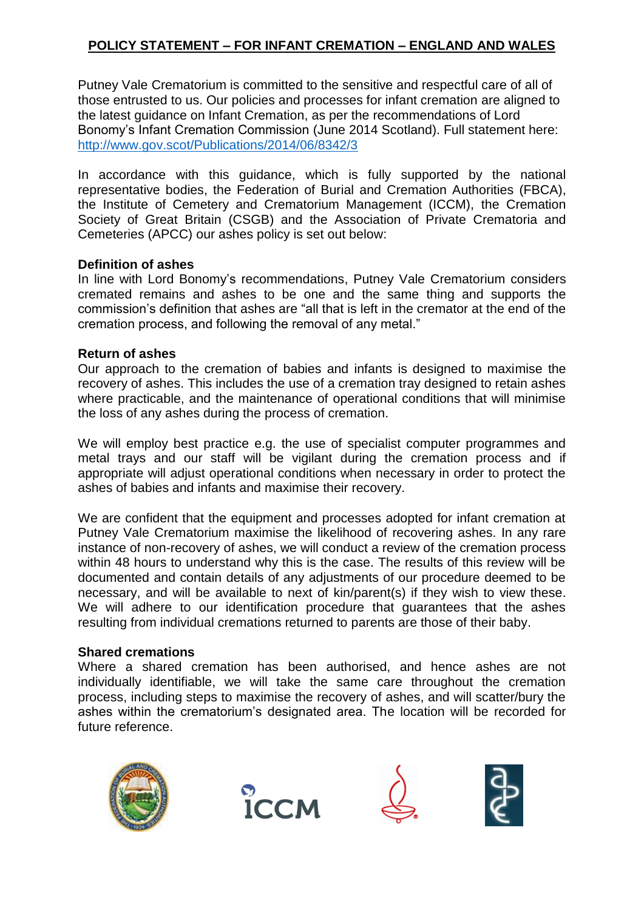# **POLICY STATEMENT – FOR INFANT CREMATION – ENGLAND AND WALES**

Putney Vale Crematorium is committed to the sensitive and respectful care of all of those entrusted to us. Our policies and processes for infant cremation are aligned to the latest guidance on Infant Cremation, as per the recommendations of Lord Bonomy's Infant Cremation Commission (June 2014 Scotland). Full statement here: <http://www.gov.scot/Publications/2014/06/8342/3>

In accordance with this guidance, which is fully supported by the national representative bodies, the Federation of Burial and Cremation Authorities (FBCA), the Institute of Cemetery and Crematorium Management (ICCM), the Cremation Society of Great Britain (CSGB) and the Association of Private Crematoria and Cemeteries (APCC) our ashes policy is set out below:

# **Definition of ashes**

In line with Lord Bonomy's recommendations, Putney Vale Crematorium considers cremated remains and ashes to be one and the same thing and supports the commission's definition that ashes are "all that is left in the cremator at the end of the cremation process, and following the removal of any metal."

#### **Return of ashes**

Our approach to the cremation of babies and infants is designed to maximise the recovery of ashes. This includes the use of a cremation tray designed to retain ashes where practicable, and the maintenance of operational conditions that will minimise the loss of any ashes during the process of cremation.

We will employ best practice e.g. the use of specialist computer programmes and metal trays and our staff will be vigilant during the cremation process and if appropriate will adjust operational conditions when necessary in order to protect the ashes of babies and infants and maximise their recovery.

We are confident that the equipment and processes adopted for infant cremation at Putney Vale Crematorium maximise the likelihood of recovering ashes. In any rare instance of non-recovery of ashes, we will conduct a review of the cremation process within 48 hours to understand why this is the case. The results of this review will be documented and contain details of any adjustments of our procedure deemed to be necessary, and will be available to next of kin/parent(s) if they wish to view these. We will adhere to our identification procedure that guarantees that the ashes resulting from individual cremations returned to parents are those of their baby.

# **Shared cremations**

Where a shared cremation has been authorised, and hence ashes are not individually identifiable, we will take the same care throughout the cremation process, including steps to maximise the recovery of ashes, and will scatter/bury the ashes within the crematorium's designated area. The location will be recorded for future reference.